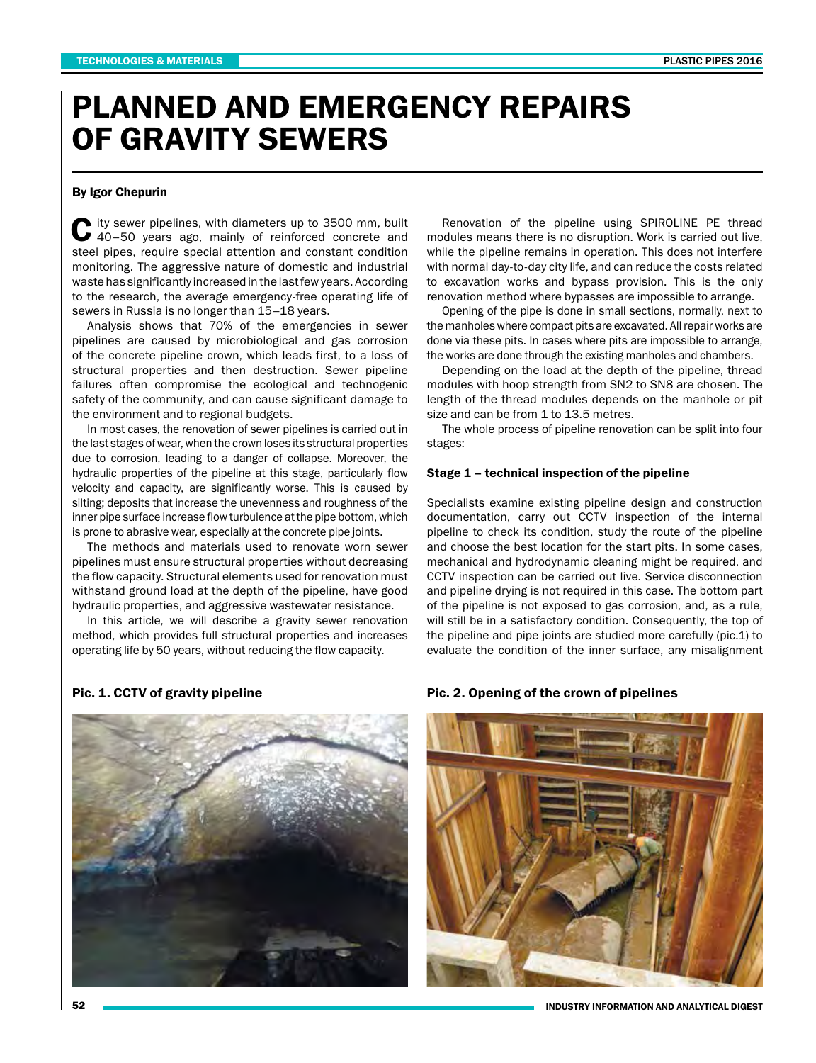# PLANNED AND EMERGENCY REPAIRS OF GRAVITY SEWERS

## By Igor Chepurin

City sewer pipelines, with diameters up to 3500 mm, built 40–50 years ago, mainly of reinforced concrete and steel pipes, require special attention and constant condition monitoring. The aggressive nature of domestic and industrial waste has significantly increased in the last few years. According to the research, the average emergency-free operating life of sewers in Russia is no longer than 15–18 years.

Analysis shows that 70% of the emergencies in sewer pipelines are caused by microbiological and gas corrosion of the concrete pipeline crown, which leads first, to a loss of structural properties and then destruction. Sewer pipeline failures often compromise the ecological and technogenic safety of the community, and can cause significant damage to the environment and to regional budgets.

In most cases, the renovation of sewer pipelines is carried out in the last stages of wear, when the crown loses its structural properties due to corrosion, leading to a danger of collapse. Moreover, the hydraulic properties of the pipeline at this stage, particularly flow velocity and capacity, are significantly worse. This is caused by silting; deposits that increase the unevenness and roughness of the inner pipe surface increase flow turbulence at the pipe bottom, which is prone to abrasive wear, especially at the concrete pipe joints.

The methods and materials used to renovate worn sewer pipelines must ensure structural properties without decreasing the flow capacity. Structural elements used for renovation must withstand ground load at the depth of the pipeline, have good hydraulic properties, and aggressive wastewater resistance.

In this article, we will describe a gravity sewer renovation method, which provides full structural properties and increases operating life by 50 years, without reducing the flow capacity.

Renovation of the pipeline using SPIROLINE PE thread modules means there is no disruption. Work is carried out live, while the pipeline remains in operation. This does not interfere with normal day-to-day city life, and can reduce the costs related to excavation works and bypass provision. This is the only renovation method where bypasses are impossible to arrange.

Opening of the pipe is done in small sections, normally, next to the manholes where compact pits are excavated. All repair works are done via these pits. In cases where pits are impossible to arrange, the works are done through the existing manholes and chambers.

Depending on the load at the depth of the pipeline, thread modules with hoop strength from SN2 to SN8 are chosen. The length of the thread modules depends on the manhole or pit size and can be from 1 to 13.5 metres.

The whole process of pipeline renovation can be split into four stages:

## Stage 1 – technical inspection of the pipeline

Specialists examine existing pipeline design and construction documentation, carry out CCTV inspection of the internal pipeline to check its condition, study the route of the pipeline and choose the best location for the start pits. In some cases, mechanical and hydrodynamic cleaning might be required, and CCTV inspection can be carried out live. Service disconnection and pipeline drying is not required in this case. The bottom part of the pipeline is not exposed to gas corrosion, and, as a rule, will still be in a satisfactory condition. Consequently, the top of the pipeline and pipe joints are studied more carefully (pic.1) to evaluate the condition of the inner surface, any misalignment



#### Pic. 1. CCTV of gravity pipeline **Pic. 2. Opening of the crown of pipelines**



INDUSTRY INFORMATION AND ANALYTICAL DIGEST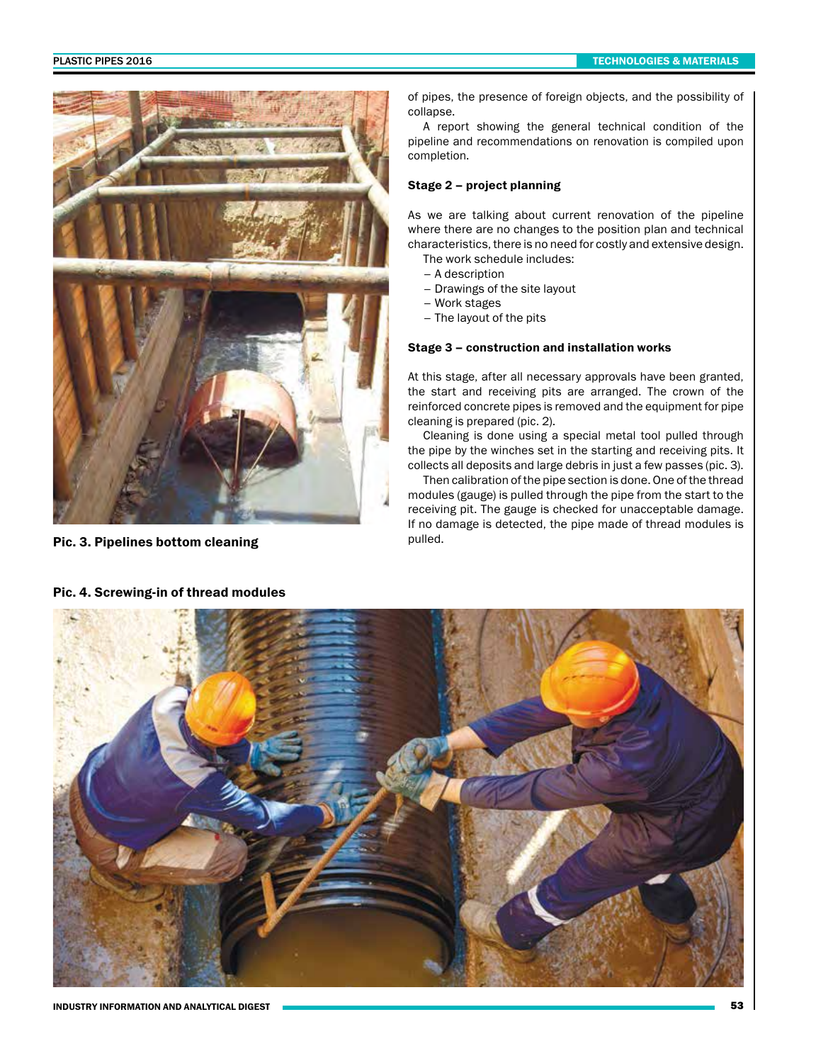

Pic. 3. Pipelines bottom cleaning methods of pulled.

of pipes, the presence of foreign objects, and the possibility of collapse.

A report showing the general technical condition of the pipeline and recommendations on renovation is compiled upon completion.

# Stage 2 – project planning

As we are talking about current renovation of the pipeline where there are no changes to the position plan and technical characteristics, there is no need for costly and extensive design.

The work schedule includes:

- A description
- Drawings of the site layout
- Work stages
- The layout of the pits

# Stage 3 – construction and installation works

At this stage, after all necessary approvals have been granted, the start and receiving pits are arranged. The crown of the reinforced concrete pipes is removed and the equipment for pipe cleaning is prepared (pic. 2).

Cleaning is done using a special metal tool pulled through the pipe by the winches set in the starting and receiving pits. It collects all deposits and large debris in just a few passes (pic. 3).

Then calibration of the pipe section is done. One of the thread modules (gauge) is pulled through the pipe from the start to the receiving pit. The gauge is checked for unacceptable damage. If no damage is detected, the pipe made of thread modules is



Pic. 4. Screwing-in of thread modules